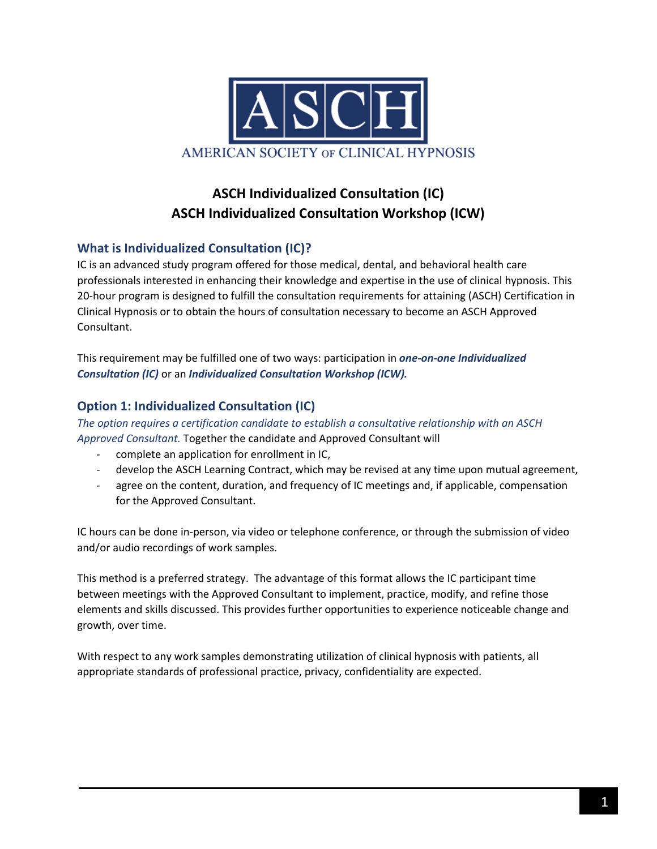

## **ASCH Individualized Consultation (IC) ASCH Individualized Consultation Workshop (ICW)**

## **What is Individualized Consultation (IC)?**

IC is an advanced study program offered for those medical, dental, and behavioral health care professionals interested in enhancing their knowledge and expertise in the use of clinical hypnosis. This 20-hour program is designed to fulfill the consultation requirements for attaining (ASCH) Certification in Clinical Hypnosis or to obtain the hours of consultation necessary to become an ASCH Approved Consultant.

This requirement may be fulfilled one of two ways: participation in *one-on-one Individualized Consultation (IC)* or an *Individualized Consultation Workshop (ICW).*

## **Option 1: Individualized Consultation (IC)**

*The option requires a certification candidate to establish a consultative relationship with an ASCH Approved Consultant.* Together the candidate and Approved Consultant will

- complete an application for enrollment in IC,
- develop the ASCH Learning Contract, which may be revised at any time upon mutual agreement,
- agree on the content, duration, and frequency of IC meetings and, if applicable, compensation for the Approved Consultant.

IC hours can be done in-person, via video or telephone conference, or through the submission of video and/or audio recordings of work samples.

This method is a preferred strategy. The advantage of this format allows the IC participant time between meetings with the Approved Consultant to implement, practice, modify, and refine those elements and skills discussed. This provides further opportunities to experience noticeable change and growth, over time.

With respect to any work samples demonstrating utilization of clinical hypnosis with patients, all appropriate standards of professional practice, privacy, confidentiality are expected.